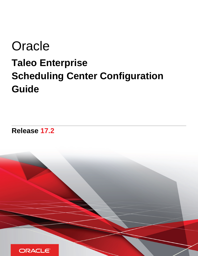# **Oracle Taleo Enterprise Scheduling Center Configuration Guide**

**Release 17.2**

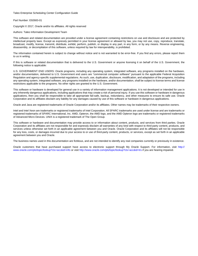Taleo Enterprise Scheduling Center Configuration Guide

#### Part Number: E92683-01

Copyright © 2017, Oracle and/or its affiliates. All rights reserved

#### Authors: Taleo Information Development Team

This software and related documentation are provided under a license agreement containing restrictions on use and disclosure and are protected by intellectual property laws. Except as expressly permitted in your license agreement or allowed by law, you may not use, copy, reproduce, translate, broadcast, modify, license, transmit, distribute, exhibit, perform, publish, or display in any part, in any form, or by any means. Reverse engineering, disassembly, or decompilation of this software, unless required by law for interoperability, is prohibited.

The information contained herein is subject to change without notice and is not warranted to be error-free. If you find any errors, please report them to us in writing.

If this is software or related documentation that is delivered to the U.S. Government or anyone licensing it on behalf of the U.S. Government, the following notice is applicable:

U.S. GOVERNMENT END USERS: Oracle programs, including any operating system, integrated software, any programs installed on the hardware, and/or documentation, delivered to U.S. Government end users are "commercial computer software" pursuant to the applicable Federal Acquisition Regulation and agency-specific supplemental regulations. As such, use, duplication, disclosure, modification, and adaptation of the programs, including any operating system, integrated software, any programs installed on the hardware, and/or documentation, shall be subject to license terms and license restrictions applicable to the programs. No other rights are granted to the U.S. Government.

This software or hardware is developed for general use in a variety of information management applications. It is not developed or intended for use in any inherently dangerous applications, including applications that may create a risk of personal injury. If you use this software or hardware in dangerous applications, then you shall be responsible to take all appropriate fail-safe, backup, redundancy, and other measures to ensure its safe use. Oracle Corporation and its affiliates disclaim any liability for any damages caused by use of this software or hardware in dangerous applications.

Oracle and Java are registered trademarks of Oracle Corporation and/or its affiliates. Other names may be trademarks of their respective owners.

Intel and Intel Xeon are trademarks or registered trademarks of Intel Corporation. All SPARC trademarks are used under license and are trademarks or registered trademarks of SPARC International, Inc. AMD, Opteron, the AMD logo, and the AMD Opteron logo are trademarks or registered trademarks of Advanced Micro Devices. UNIX is a registered trademark of The Open Group.

This software or hardware and documentation may provide access to or information about content, products, and services from third parties. Oracle Corporation and its affiliates are not responsible for and expressly disclaim all warranties of any kind with respect to third-party content, products, and services unless otherwise set forth in an applicable agreement between you and Oracle. Oracle Corporation and its affiliates will not be responsible for any loss, costs, or damages incurred due to your access to or use of third-party content, products, or services, except as set forth in an applicable agreement between you and Oracle.

The business names used in this documentation are fictitious, and are not intended to identify any real companies currently or previously in existence.

Oracle customers that have purchased support have access to electronic support through My Oracle Support. For information, visit [http://](http://www.oracle.com/pls/topic/lookup?ctx=acc&id=info) [www.oracle.com/pls/topic/lookup?ctx=acc&id=info](http://www.oracle.com/pls/topic/lookup?ctx=acc&id=info) or visit [http://www.oracle.com/pls/topic/lookup?ctx=acc&id=trs](http://www.oracle.com/pls/topic/lookup?ctx=acc&id=info) if you are hearing impaired.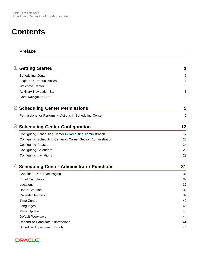# **Contents**

| <b>Preface</b>                                                 |    |
|----------------------------------------------------------------|----|
| <b>Getting Started</b>                                         | 1  |
| <b>Scheduling Center</b>                                       | 1  |
| Login and Product Access                                       | 1  |
| <b>Welcome Center</b>                                          | 3  |
| Auxiliary Navigation Bar                                       | 3  |
| Core Navigation Bar                                            | 3  |
| 2 Scheduling Center Permissions                                | 5  |
| Permissions for Performing Actions in Scheduling Center        | 5  |
| 3<br><b>Scheduling Center Configuration</b>                    | 12 |
| Configuring Scheduling Center in Recruiting Administration     | 12 |
| Configuring Scheduling Center in Career Section Administration | 23 |
| <b>Configuring Phases</b>                                      | 24 |
| <b>Configuring Calendars</b>                                   | 28 |
| Configuring Invitations                                        | 29 |
| 4 Scheduling Center Administrator Functions                    | 31 |
| Candidate Portal Messaging                                     | 31 |
| <b>Email Templates</b>                                         | 32 |
| Locations                                                      | 37 |
| <b>Users Creation</b>                                          | 38 |
| Calendar Imports                                               | 39 |
| Time Zones                                                     | 40 |
| Languages                                                      | 40 |
| Mass Update                                                    | 43 |
| Default Weekdays                                               | 44 |
| Resend of Candidate Submissions                                | 44 |
| Schedule Appointment Emails                                    | 44 |

ORACLE<sup>®</sup>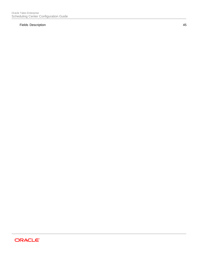#### [Fields Description](#page-50-0) 45

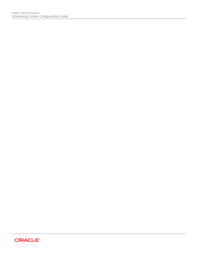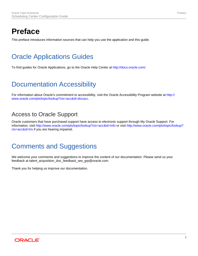# <span id="page-5-0"></span>**Preface**

This preface introduces information sources that can help you use the application and this guide.

# Oracle Applications Guides

To find guides for Oracle Applications, go to the Oracle Help Center at [http://docs.oracle.com/.](http://docs.oracle.com/)

# Documentation Accessibility

For information about Oracle's commitment to accessibility, visit the Oracle Accessibility Program website at [http://](http://www.oracle.com/pls/topic/lookup?ctx=acc&id=docacc) [www.oracle.com/pls/topic/lookup?ctx=acc&id=docacc.](http://www.oracle.com/pls/topic/lookup?ctx=acc&id=docacc)

### Access to Oracle Support

Oracle customers that have purchased support have access to electronic support through My Oracle Support. For information, visit<http://www.oracle.com/pls/topic/lookup?ctx=acc&id=info> or visit [http://www.oracle.com/pls/topic/lookup?](http://www.oracle.com/pls/topic/lookup?ctx=acc&id=trs) [ctx=acc&id=trs](http://www.oracle.com/pls/topic/lookup?ctx=acc&id=trs) if you are hearing impaired.

# Comments and Suggestions

We welcome your comments and suggestions to improve the content of our documentation. Please send us your feedback at talent\_acquisition\_doc\_feedback\_ww\_grp@oracle.com.

Thank you for helping us improve our documentation.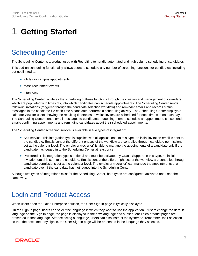# <span id="page-6-0"></span>1 **Getting Started**

# <span id="page-6-1"></span>Scheduling Center

The Scheduling Center is a product used with Recruiting to handle automated and high volume scheduling of candidates.

This add-on scheduling functionality allows users to schedule any number of screening functions for candidates, including but not limited to:

- job fair or campus appointments
- mass recruitment events
- interviews

The Scheduling Center facilitates the scheduling of these functions through the creation and management of calendars, which are populated with timeslots, into which candidates can schedule appointments. The Scheduling Center sends follow-up invitations (triggered through the candidate selection workflow) and reminder emails and records status messages in the candidate file each time a candidate performs a scheduling activity. The Scheduling Center displays a calendar view for users showing the resulting timetables of which invites are scheduled for each time slot on each day. The Scheduling Center sends email messages to candidates requesting them to schedule an appointment. It also sends emails confirming appointments and reminding candidates about their scheduled appointments.

The Scheduling Center screening service is available in two types of integration:

- Self-service: This integration type is supplied with all applications. In this type, an initial invitation email is sent to the candidate. Emails sent at the different phases of the workflow are controlled through candidate permissions set at the calendar level. The employer (recruiter) is able to manage the appointments of a candidate only if the candidate has logged in to the Scheduling Center at least once.
- Proctored: This integration type is optional and must be activated by Oracle Support. In this type, no initial invitation email is sent to the candidate. Emails sent at the different phases of the workflow are controlled through candidate permissions set at the calendar level. The employer (recruiter) can manage the appointments of a candidate even if the candidate has not logged into the Scheduling Center.

Although two types of integrations exist for the Scheduling Center, both types are configured, activated and used the same way.

# <span id="page-6-2"></span>Login and Product Access

When users open the Taleo Enterprise solution, the User Sign In page is typically displayed.

On the Sign In page, users can select the language in which they want to use the application. If users change the default language on the Sign In page, the page is displayed in the new language and subsequent Taleo product pages are presented in that language. After selecting a language, users can also instruct the system to "remember" their selection so that the next time they sign in, the User Sign In page will be presented in the language they selected.

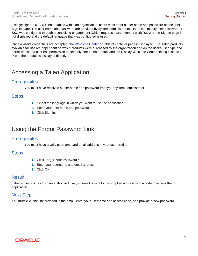If single sign-on (SSO) is not enabled within an organization, users must enter a user name and password on the user Sign In page. The user name and password are provided by system administrators. Users can modify their password. If SSO was configured through a consulting engagement (which requires a statement of work (SOW)), the Sign In page is not displayed and the default language that was configured is used.

Once a user's credentials are accepted, the [Welcome Center](#page-8-0) or table of contents page is displayed. The Taleo products available for use are dependent on which products were purchased by the organization and on the user's user type and permissions. If a user has permission to see only one Taleo product and the Display Welcome Center setting is set to "Yes", the product is displayed directly.

### Accessing a Taleo Application

#### **Prerequisites**

You must have received a user name and password from your system administrator.

#### Steps

- **1.** Select the language in which you want to use the application.
- **2.** Enter your user name and password.
- **3.** Click Sign In.

### Using the Forgot Password Link

#### **Prerequisites**

You must have a valid username and email address in your user profile.

#### Steps

- **1.** Click Forgot Your Password?.
- **2.** Enter your username and email address.
- **3.** Click OK.

#### Result

If the request comes from an authorized user, an email is sent to the supplied address with a code to access the application.

#### Next Step

You must click the link provided in the email, enter your username and access code, and provide a new password.

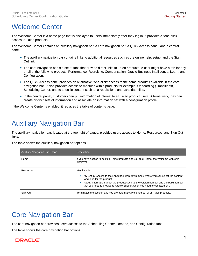## <span id="page-8-0"></span>Welcome Center

The Welcome Center is a home page that is displayed to users immediately after they log in. It provides a "one-click" access to Taleo products.

The Welcome Center contains an auxiliary navigation bar, a core navigation bar, a Quick Access panel, and a central panel.

- The auxiliary navigation bar contains links to additional resources such as the online help, setup, and the Sign Out link.
- The core navigation bar is a set of tabs that provide direct links to Taleo products. A user might have a tab for any or all of the following products: Performance, Recruiting, Compensation, Oracle Business Intelligence, Learn, and Configuration.
- The Quick Access panel provides an alternative "one-click" access to the same products available in the core navigation bar. It also provides access to modules within products for example, Onboarding (Transitions), Scheduling Center, and to specific content such as a requisitions and candidate files.
- In the central panel, customers can put information of interest to all Taleo product users. Alternatively, they can create distinct sets of information and associate an information set with a configuration profile.

If the Welcome Center is enabled, it replaces the table of contents page.

# <span id="page-8-1"></span>Auxiliary Navigation Bar

The auxiliary navigation bar, located at the top right of pages, provides users access to Home, Resources, and Sign Out links.

The table shows the auxiliary navigation bar options.

| <b>Auxiliary Navigation Bar Option</b> | <b>Description</b>                                                                                                                                                                                                                                                                                                           |
|----------------------------------------|------------------------------------------------------------------------------------------------------------------------------------------------------------------------------------------------------------------------------------------------------------------------------------------------------------------------------|
| Home                                   | If you have access to multiple Taleo products and you click Home, the Welcome Center is<br>displayed.                                                                                                                                                                                                                        |
| Resources                              | May include:<br>My Setup: Access to the Language drop-down menu where you can select the content<br>$\bullet$<br>language for the product.<br>About: Information about the product such as the version number and the build number<br>$\bullet$<br>that you need to provide to Oracle Support when you need to contact them. |
| Sign Out                               | Terminates the session and you are automatically signed out of all Taleo products.                                                                                                                                                                                                                                           |

# <span id="page-8-2"></span>Core Navigation Bar

The core navigation bar provides users access to the Scheduling Center, Reports, and Configuration tabs.

The table shows the core navigation bar options.

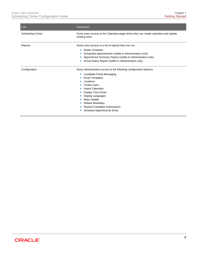| Link                     | <b>Description</b>                                                                                                                                                                                                                                                                                                                            |
|--------------------------|-----------------------------------------------------------------------------------------------------------------------------------------------------------------------------------------------------------------------------------------------------------------------------------------------------------------------------------------------|
| <b>Scheduling Center</b> | Gives users access to the Calendars page where they can create calendars and update<br>existing ones.                                                                                                                                                                                                                                         |
| Reports                  | Gives users access to a list of reports they can run:<br><b>Roster Schedule</b><br>$\bullet$<br>Scheduled Appointments (visible to Administrators only)<br>Appointment Summary Report (visible to Administrators only)<br>Arrival Status Report (visible to Administrators only)<br>$\bullet$                                                 |
| Configuration            | Gives Administrators access to the following configuration features:<br>Candidate Portal Messaging<br><b>Email Templates</b><br>Locations<br>۰<br><b>Create Users</b><br>Import Calendars<br>Display Time Zones<br>Display Languages<br>Mass Update<br>Default Weekdays<br><b>Resend Candidate Submissions</b><br>Schedule Appointments Email |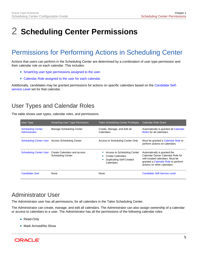# <span id="page-10-0"></span>2 **Scheduling Center Permissions**

# <span id="page-10-1"></span>Permissions for Performing Actions in Scheduling Center

Actions that users can perform in the Scheduling Center are determined by a combination of user type permission and their calendar role on each calendar. This includes:

- [SmartOrg user type permissions assigned to the user](#page-11-0).
- [Calendar Role assigned to the user for each calendar](#page-12-0).

Additionally, candidates may be granted permissions for actions on specific calendars based on the [Candidate Self](#page-15-0)[service Level](#page-15-0) set for that calendar.

### User Types and Calendar Roles

The table shows user types, calendar roles, and permissions.

| User Type                                 | <b>SmartOrg User Type Permission</b>                                           | <b>Taleo Scheduling Center Privileges</b>                                                                           | <b>Calendar Role Grant</b>                                                                                                                                               |
|-------------------------------------------|--------------------------------------------------------------------------------|---------------------------------------------------------------------------------------------------------------------|--------------------------------------------------------------------------------------------------------------------------------------------------------------------------|
| <b>Scheduling Center</b><br>Administrator | Manage Scheduling Center                                                       | Create, Manage, and Edit all<br>Calendars                                                                           | Automatically is granted all Calendar<br>Roles for all calendars.                                                                                                        |
|                                           | Scheduling Center User Access Scheduling Center                                | Access to Scheduling Center Only                                                                                    | Must be granted a Calendar Role to<br>perform actions on calendars.                                                                                                      |
|                                           | Scheduling Center User Create Calendars and access<br><b>Scheduling Center</b> | Access to Scheduling Center<br><b>Create Calendars</b><br>$\bullet$<br><b>Duplicating Self-Created</b><br>Calendars | Automatically is granted the<br>Calendar Owner Calendar Role for<br>self-created calendars. Must be<br>granted a Calendar Role to perform<br>actions on other calendars. |
| <b>Candidate User</b>                     | None                                                                           | None                                                                                                                | Candidate Self-Service Level                                                                                                                                             |

### <span id="page-10-2"></span>Administrator User

The Administrator user has all permissions, for all calendars in the Taleo Scheduling Center.

The Administrator can create, manage, and edit all calendars. The Administrator can also assign ownership of a calendar or access to calendars to a user. The Administrator has all the permissions of the following calendar roles:

- Read-Only
- Mark Arrived/No Show

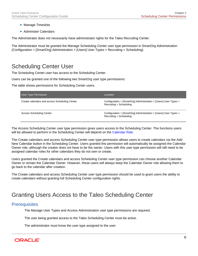- Manage Timeslots
- Administer Calendars

The Administrator does not necessarily have administrator rights for the Taleo Recruiting Center.

The Administrator must be granted the Manage Scheduling Center user type permission in SmartOrg Administration (Configuration > [SmartOrg] Administration > [Users] User Types > Recruiting > Scheduling).

### <span id="page-11-0"></span>Scheduling Center User

The Scheduling Center user has access to the Scheduling Center.

Users can be granted one of the following two SmartOrg user type permissions:

The table shows permissions for Scheduling Center users.

| User Type Permission                          | Location                                                                                    |
|-----------------------------------------------|---------------------------------------------------------------------------------------------|
| Create calendars and access Scheduling Center | Configuration > [SmartOrg] Administration > [Users] User Types ><br>Recruiting > Scheduling |
| <b>Access Scheduling Center</b>               | Configuration > [SmartOrg] Administration > [Users] User Types ><br>Recruiting > Scheduling |

The Access Scheduling Center user type permission gives users access to the Scheduling Center. The functions users will be allowed to perform in the Scheduling Center will depend on the [Calendar Role](#page-12-0).

The Create calendars and access Scheduling Center user type permission allows users to create calendars via the Add New Calendar button in the Scheduling Center. Users granted this permission will automatically be assigned the Calendar Owner role, although the creator does not have to be the owner. Users with this user type permission will still need to be assigned calendar roles for other calendars they do not own or create.

Users granted the Create calendars and access Scheduling Center user type permission can choose another Calendar Owner or remain the Calendar Owner. However, these users will always keep the Calendar Owner role allowing them to go back to the calendar after creation.

The Create calendars and access Scheduling Center user type permission should be used to grant users the ability to create calendars without granting full Scheduling Center configuration rights.

### Granting Users Access to the Taleo Scheduling Center

#### **Prerequisites**

The Manage User Types and Access Administration user type permissions are required.

The user being granted access to the Taleo Scheduling Center must be active.

The administrator must know the user type assigned to the user.

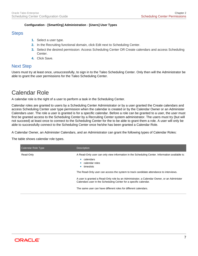#### **Configuration** - **[SmartOrg] Administration** - **[Users] User Types**

#### **Steps**

- **1.** Select a user type.
- **2.** In the Recruiting functional domain, click Edit next to Scheduling Center.
- **3.** Select the desired permission: Access Scheduling Center OR Create calendars and access Scheduling Center.
- **4.** Click Save.

#### Next Step

Users must try at least once, unsuccessfully, to sign in to the Taleo Scheduling Center. Only then will the Administrator be able to grant the user permissions for the Taleo Scheduling Center.

### <span id="page-12-0"></span>Calendar Role

A calendar role is the right of a user to perform a task in the Scheduling Center.

Calendar roles are granted to users by a Scheduling Center Administrator or by a user granted the Create calendars and access Scheduling Center user type permission when the calendar is created or by the Calendar Owner or an Administer Calendars user. The role a user is granted is for a specific calendar. Before a role can be granted to a user, the user must first be granted access to the Scheduling Center by a Recruiting Center system administrator. The users must try (but will not succeed) at least once to connect to the Scheduling Center for the to be able to grant them a role. A user will only be able to successfully connect to the Scheduling Center once he/she has been granted a Calendar Role.

A Calendar Owner, an Administer Calendars, and an Administrator can grant the following types of Calendar Roles:

The table shows calendar role types.

| Calendar Role Type | Description                                                                                                                                                                                                                                                                                                                                                                                                                                                                             |
|--------------------|-----------------------------------------------------------------------------------------------------------------------------------------------------------------------------------------------------------------------------------------------------------------------------------------------------------------------------------------------------------------------------------------------------------------------------------------------------------------------------------------|
| Read-Only          | A Read-Only user can only view information in the Scheduling Center. Information available is:<br>calendars<br>$\bullet$<br>calendar roles<br>• timeslots<br>The Read-Only user can access the system to track candidate attendance to interviews.<br>A user is granted a Read-Only role by an Administrator, a Calendar Owner, or an Administer<br>Calendars user in the Scheduling Center for a specific calendar.<br>The same user can have different roles for different calendars. |

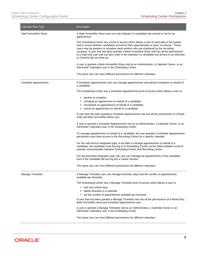| Calendar Role Type           | Description                                                                                                                                                                                                                                                                                                                                                                                                                                                                                                     |
|------------------------------|-----------------------------------------------------------------------------------------------------------------------------------------------------------------------------------------------------------------------------------------------------------------------------------------------------------------------------------------------------------------------------------------------------------------------------------------------------------------------------------------------------------------|
| Mark Arrived/No Show         | A Mark Arrived/No Show user can only indicate if a candidate has arrived or not for an<br>appointment.                                                                                                                                                                                                                                                                                                                                                                                                          |
|                              | The Scheduling Center has a level of access which allows a user to read data in the system<br>and to record whether candidates arrived for their appointments or were "no-shows." These<br>users may be greeters or reception desk workers who are employed by the recruiting<br>company. A user that has been granted a Mark Arrived/No Show role has all the permissions<br>of a read-only user and can also mark in the calendar if a candidate has arrived to an interview<br>or if he/she did not show up. |
|                              | A user is granted a Mark Arrived/No Show role by an Administrator, a Calendar Owner, or an<br>Administer Calendars user in the Scheduling Center.                                                                                                                                                                                                                                                                                                                                                               |
|                              | The same user can have different permissions for different calendars.                                                                                                                                                                                                                                                                                                                                                                                                                                           |
| <b>Schedule Appointments</b> | A Schedule Appointments user can manage appointments and decline invitations on behalf of<br>a candidate.                                                                                                                                                                                                                                                                                                                                                                                                       |
|                              | The Scheduling Center has a Schedule Appointments level of access which allows a user to:                                                                                                                                                                                                                                                                                                                                                                                                                       |
|                              | decline an invitation<br>$\bullet$<br>schedule an appointment on behalf of a candidate<br>reschedule an appointment on behalf of a candidate<br>0<br>cancel an appointment on behalf of a candidate<br>0<br>A user that has been granted a Schedule Appointments role has all the permissions of a Read-                                                                                                                                                                                                        |
|                              | Only and Mark Arrived/No Show user.                                                                                                                                                                                                                                                                                                                                                                                                                                                                             |
|                              | A user is granted a Schedule Appointments role by an Administrator, a Calendar Owner, or an<br>Administer Calendars user in the Scheduling Center.                                                                                                                                                                                                                                                                                                                                                              |
|                              | To manage appointments on behalf of a candidate, the user granted a Schedule Appointments<br>permission must have access to the Recruiting Center for a specific calendar.                                                                                                                                                                                                                                                                                                                                      |
|                              | For the self-service integration type, to be able to manage appointments on behalf of a<br>candidate, the candidate must first log in to Scheduling Center via the initial invitation email to<br>activate communication between Scheduling Center and Recruiting Center.                                                                                                                                                                                                                                       |
|                              | For the proctored integration type, the user can manage the appointments of the candidate,<br>even if the candidate did not log into a Career Section.                                                                                                                                                                                                                                                                                                                                                          |
|                              | The same user can have different permissions for different calendars.                                                                                                                                                                                                                                                                                                                                                                                                                                           |
| <b>Manage Timeslots</b>      | A Manage Timeslots user can manage timeslots, days and the number of appointments<br>available per timeslots.                                                                                                                                                                                                                                                                                                                                                                                                   |
|                              | The Scheduling Center has a Manage Timeslots level of access which allows a user to:                                                                                                                                                                                                                                                                                                                                                                                                                            |
|                              | lock and unlock days<br>$\bullet$<br>delete timeslots in a calendar<br>۰<br>set the number of appointments available per timeslots<br>$\bullet$                                                                                                                                                                                                                                                                                                                                                                 |
|                              | A user that has been granted a Manage Timeslots role has all the permissions of a Read-Only,<br>Mark Arrived/No show and Schedule Appointments user.                                                                                                                                                                                                                                                                                                                                                            |
|                              | A user is granted a Manage Timeslots role by an Administrator, a Calendar Owner or an<br>Administer Calendars user in the Scheduling Center.                                                                                                                                                                                                                                                                                                                                                                    |
|                              | The same user can have different permissions for different calendars.                                                                                                                                                                                                                                                                                                                                                                                                                                           |

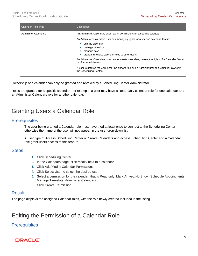| Calendar Role Type   | <b>Description</b>                                                                                                                    |
|----------------------|---------------------------------------------------------------------------------------------------------------------------------------|
| Administer Calendars | An Administer Calendars user has all permissions for a specific calendar.                                                             |
|                      | An Administer Calendars user has managing rights for a specific calendar, that is:                                                    |
|                      | edit the calendar<br>$\bullet$<br>manage timeslots<br>manage days<br>0<br>grant and revoke calendar roles to other users<br>$\bullet$ |
|                      | An Administer Calendars user cannot create calendars, revoke the rights of a Calendar Owner<br>or of an Administrator.                |
|                      | A user is granted the Administer Calendars role by an Administrator or a Calendar Owner in<br>the Scheduling Center.                  |

Ownership of a calendar can only be granted and revoked by a Scheduling Center Administrator.

Roles are granted for a specific calendar. For example, a user may have a Read-Only calendar role for one calendar and an Administer Calendars role for another calendar.

### Granting Users a Calendar Role

#### **Prerequisites**

The user being granted a Calendar role must have tried at least once to connect to the Scheduling Center, otherwise the name of the user will not appear in the user drop-down list.

A user type of Access Scheduling Center or Create Calendars and access Scheduling Center and a Calendar role grant users access to this feature.

#### Steps

- **1.** Click Scheduling Center.
- **2.** In the Calendars page, click Modify next to a calendar.
- **3.** Click Add/Modify Calendar Permissions.
- **4.** Click Select User to select the desired user.
- **5.** Select a permission for the calendar, that is Read only, Mark Arrived/No Show, Schedule Appointments, Manage Timeslots, Administer Calendars.
- **6.** Click Create Permission.

#### **Result**

The page displays the assigned Calendar roles, with the role newly created included in the listing.

### Editing the Permission of a Calendar Role

#### **Prerequisites**

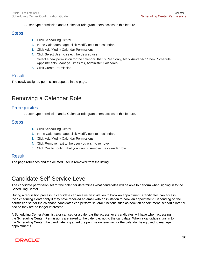A user type permission and a Calendar role grant users access to this feature.

#### Steps

- **1.** Click Scheduling Center.
- **2.** In the Calendars page, click Modify next to a calendar.
- **3.** Click Add/Modify Calendar Permissions.
- **4.** Click Select User to select the desired user.
- **5.** Select a new permission for the calendar, that is Read only, Mark Arrived/No Show, Schedule Appointments, Manage Timeslots, Administer Calendars.
- **6.** Click Create Permission.

#### **Result**

The newly assigned permission appears in the page.

### Removing a Calendar Role

#### **Prerequisites**

A user type permission and a Calendar role grant users access to this feature.

#### Steps

- **1.** Click Scheduling Center.
- **2.** In the Calendars page, click Modify next to a calendar.
- **3.** Click Add/Modify Calendar Permissions.
- **4.** Click Remove next to the user you wish to remove.
- **5.** Click Yes to confirm that you want to remove the calendar role.

#### Result

The page refreshes and the deleted user is removed from the listing.

### <span id="page-15-0"></span>Candidate Self-Service Level

The candidate permission set for the calendar determines what candidates will be able to perform when signing in to the Scheduling Center.

During a requisition process, a candidate can receive an invitation to book an appointment. Candidates can access the Scheduling Center only if they have received an email with an invitation to book an appointment. Depending on the permission set for the calendar, candidates can perform several functions such as book an appointment, schedule later or decide they are no longer interested.

A Scheduling Center Administrator can set for a calendar the access level candidates will have when accessing the Scheduling Center. Permissions are linked to the calendar, not to the candidate. When a candidate signs in to the Scheduling Center, the candidate is granted the permission level set for the calendar being used to manage appointments.

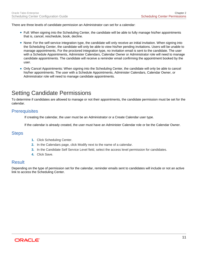There are three levels of candidate permission an Administrator can set for a calendar:

- Full: When signing into the Scheduling Center, the candidate will be able to fully manage his/her appointments that is, cancel, reschedule, book, decline.
- None: For the self-service integration type, the candidate will only receive an initial invitation. When signing into the Scheduling Center, the candidate will only be able to view his/her pending invitations. Users will be unable to manage appointments. For the proctored integration type, no invitation email is sent to the candidate. The user with a Schedule Appointments, Administer Calendars, Calendar Owner or Administrator role will need to manage candidate appointments. The candidate will receive a reminder email confirming the appointment booked by the user.
- Only Cancel Appointments: When signing into the Scheduling Center, the candidate will only be able to cancel his/her appointments. The user with a Schedule Appointments, Administer Calendars, Calendar Owner, or Administrator role will need to manage candidate appointments.

### Setting Candidate Permissions

To determine if candidates are allowed to manage or not their appointments, the candidate permission must be set for the calendar.

#### **Prerequisites**

If creating the calendar, the user must be an Administrator or a Create Calendar user type.

If the calendar is already created, the user must have an Administer Calendar role or be the Calendar Owner.

#### Steps

- **1.** Click Scheduling Center.
- **2.** In the Calendars page, click Modify next to the name of a calendar.
- **3.** In the Candidate Self Service Level field, select the access level permission for candidates.
- **4.** Click Save.

#### Result

Depending on the type of permission set for the calendar, reminder emails sent to candidates will include or not an active link to access the Scheduling Center.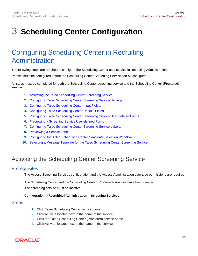# <span id="page-17-0"></span>3 **Scheduling Center Configuration**

# <span id="page-17-1"></span>Configuring Scheduling Center in Recruiting Administration

The following steps are required to configure the Scheduling Center as a service in Recruiting Administration.

Phases must be configured before the Scheduling Center Screening Service can be configured.

All steps must be completed for both the Scheduling Center screening service and the Scheduling Center (Proctored) service.

- **1.** [Activating the Taleo Scheduling Center Screening Service.](#page-17-2)
- **2.** [Configuring Taleo Scheduling Center Screening Service Settings.](#page-18-0)
- **3.** [Configuring Taleo Scheduling Center Input Fields.](#page-18-1)
- **4.** [Configuring Taleo Scheduling Center Results Fields.](#page-19-0)
- **5.** [Configuring Taleo Scheduling Center Screening Service User-defined Forms.](#page-19-1)
- **6.** [Previewing a Screening Service User-defined Form.](#page-20-0)
- **7.** [Configuring Taleo Scheduling Center Screening Service Labels.](#page-20-1)
- **8.** [Previewing a Service Label.](#page-20-2)
- **9.** [Configuring the Taleo Scheduling Center Candidate Selection Workflow.](#page-21-0)
- **10.** [Selecting a Message Template for the Taleo Scheduling Center Screening Service.](#page-21-1)

### <span id="page-17-2"></span>Activating the Scheduling Center Screening Service

#### **Prerequisites**

The Access Screening Services configuration and the Access Administration user type permissions are required.

The Scheduling Center and the Scheduling Center (Proctored) services have been created.

The screening service must be inactive.

#### **Configuration** - **[Recruiting] Administration** - **Screening Services**

#### Steps

- **1.** Click Taleo Scheduling Center service name.
- **2.** Click Activate located next to the name of the service.
- **3.** Click the Taleo Scheduling Center (Proctored) service name.
- **4.** Click Activate located next to the name of the service.

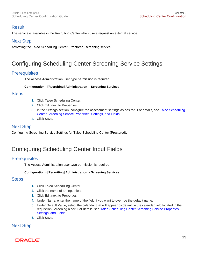#### Result

The service is available in the Recruiting Center when users request an external service.

#### Next Step

Activating the Taleo Scheduling Center (Proctored) screening service.

### <span id="page-18-0"></span>Configuring Scheduling Center Screening Service Settings

#### **Prerequisites**

The Access Administration user type permission is required.

#### **Configuration** - **[Recruiting] Administration** - **Screening Services**

#### Steps

- **1.** Click Taleo Scheduling Center.
- **2.** Click Edit next to Properties.
- **3.** In the Settings section, configure the assessment settings as desired. For details, see [Taleo Scheduling](#page-22-0) [Center Screening Service Properties, Settings, and Fields.](#page-22-0)
- **4.** Click Save.

#### Next Step

Configuring Screening Service Settings for Taleo Scheduling Center (Proctored).

### <span id="page-18-1"></span>Configuring Scheduling Center Input Fields

#### **Prerequisites**

The Access Administration user type permission is required.

#### **Configuration** - **[Recruiting] Administration** - **Screening Services**

#### Steps

- **1.** Click Taleo Scheduling Center.
- **2.** Click the name of an Input field.
- **3.** Click Edit next to Properties.
- **4.** Under Name, enter the name of the field if you want to override the default name.
- **5.** Under Default Value, select the calendar that will appear by default in the calendar field located in the requisition Screening block. For details, see [Taleo Scheduling Center Screening Service Properties,](#page-22-0) [Settings, and Fields](#page-22-0).
- **6.** Click Save.

#### Next Step

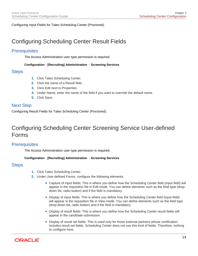Configuring Input Fields for Taleo Scheduling Center (Proctored).

### <span id="page-19-0"></span>Configuring Scheduling Center Result Fields

#### **Prerequisites**

The Access Administration user type permission is required.

#### **Configuration** - **[Recruiting] Administration** - **Screening Services**

#### Steps

- **1.** Click Taleo Scheduling Center.
- **2.** Click the name of a Result field.
- **3.** Click Edit next to Properties.
- **4.** Under Name, enter the name of the field if you want to override the default name.
- **5.** Click Save.

#### Next Step

Configuring Result Fields for Taleo Scheduling Center (Proctored).

### <span id="page-19-1"></span>Configuring Scheduling Center Screening Service User-defined Forms

#### **Prerequisites**

The Access Administration user type permission is required.

#### **Configuration** - **[Recruiting] Administration** - **Screening Services**

#### Steps

- **1.** Click Taleo Scheduling Center.
- **2.** Under User-defined Forms, configure the following elements.
	- Capture of input fields: This is where you define how the Scheduling Center field (input field) will appear in the requisition file in Edit mode. You can define elements such as the field type (dropdown list, radio button) and if the field is mandatory.
	- Display of input fields: This is where you define how the Scheduling Center field (input field) will appear in the requisition file in View mode. You can define elements such as the field type (drop-down list, radio button) and if the field is mandatory.
	- Display of result fields: This is where you define how the Scheduling Center result fields will appear in the candidate submission.
	- Display of result set fields: This is used only for those external partners whose certification includes result set fields. Scheduling Center does not use this kind of fields. Therefore, nothing to configure here.

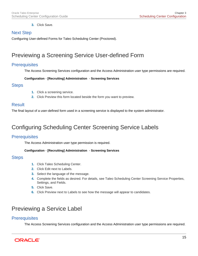**3.** Click Save.

#### Next Step

Configuring User-defined Forms for Taleo Scheduling Center (Proctored).

### <span id="page-20-0"></span>Previewing a Screening Service User-defined Form

#### **Prerequisites**

The Access Screening Services configuration and the Access Administration user type permissions are required.

#### **Configuration** - **[Recruiting] Administration** - **Screening Services**

#### **Steps**

- **1.** Click a screening service.
- **2.** Click Preview this form located beside the form you want to preview.

#### **Result**

The final layout of a user-defined form used in a screening service is displayed to the system administrator.

### <span id="page-20-1"></span>Configuring Scheduling Center Screening Service Labels

#### **Prerequisites**

The Access Administration user type permission is required.

#### **Configuration** - **[Recruiting] Administration** - **Screening Services**

#### Steps

- **1.** Click Taleo Scheduling Center.
- **2.** Click Edit next to Labels.
- **3.** Select the language of the message.
- **4.** Complete the fields as desired. For details, see Taleo Scheduling Center Screening Service Properties, Settings, and Fields.
- **5.** Click Save.
- **6.** Click Preview next to Labels to see how the message will appear to candidates.

### <span id="page-20-2"></span>Previewing a Service Label

#### **Prerequisites**

The Access Screening Services configuration and the Access Administration user type permissions are required.

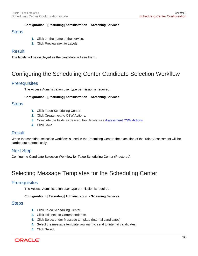#### **Configuration** - **[Recruiting] Administration** - **Screening Services**

#### Steps

- **1.** Click on the name of the service.
- **2.** Click Preview next to Labels.

#### **Result**

The labels will be displayed as the candidate will see them.

### <span id="page-21-0"></span>Configuring the Scheduling Center Candidate Selection Workflow

#### **Prerequisites**

The Access Administration user type permission is required.

#### **Configuration** - **[Recruiting] Administration** - **Screening Services**

#### **Steps**

- **1.** Click Taleo Scheduling Center.
- **2.** Click Create next to CSW Actions.
- **3.** Complete the fields as desired. For details, see [Assessment CSW Actions.](#page-22-0)
- **4.** Click Save.

#### **Result**

When the candidate selection workflow is used in the Recruiting Center, the execution of the Taleo Assessment will be carried out automatically.

#### Next Step

Configuring Candidate Selection Workflow for Taleo Scheduling Center (Proctored).

### <span id="page-21-1"></span>Selecting Message Templates for the Scheduling Center

#### **Prerequisites**

The Access Administration user type permission is required.

#### **Configuration** - **[Recruiting] Administration** - **Screening Services**

#### **Steps**

- **1.** Click Taleo Scheduling Center.
- **2.** Click Edit next to Correspondence.
- **3.** Click Select under Message template (internal candidates).
- **4.** Select the message template you want to send to internal candidates.
- **5.** Click Select.

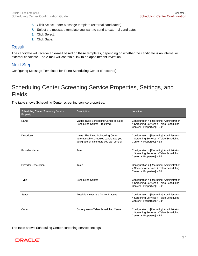- **6.** Click Select under Message template (external candidates).
- **7.** Select the message template you want to send to external candidates.
- **8.** Click Select.
- **9.** Click Save.

#### **Result**

The candidate will receive an e-mail based on these templates, depending on whether the candidate is an internal or external candidate. The e-mail will contain a link to an appointment invitation.

#### Next Step

Configuring Message Templates for Taleo Scheduling Center (Proctored).

### <span id="page-22-0"></span>Scheduling Center Screening Service Properties, Settings, and Fields

The table shows Scheduling Center screening service properties.

| <b>Scheduling Center Screening Service</b><br>Property | <b>Description</b>                                                                                                      | Location                                                                                                               |
|--------------------------------------------------------|-------------------------------------------------------------------------------------------------------------------------|------------------------------------------------------------------------------------------------------------------------|
| Name                                                   | Value: Taleo Scheduling Center or Taleo<br><b>Scheduling Center (Proctored)</b>                                         | Configuration > [Recruiting] Administration<br>> Screening Services > Taleo Scheduling<br>Center > [Properties] > Edit |
| Description                                            | Value: The Taleo Scheduling Center<br>automatically schedules candidates you<br>designate on calendars you can control. | Configuration > [Recruiting] Administration<br>> Screening Services > Taleo Scheduling<br>Center > [Properties] > Edit |
| <b>Provider Name</b>                                   | Taleo                                                                                                                   | Configuration > [Recruiting] Administration<br>> Screening Services > Taleo Scheduling<br>Center > [Properties] > Edit |
| <b>Provider Description</b>                            | Taleo                                                                                                                   | Configuration > [Recruiting] Administration<br>> Screening Services > Taleo Scheduling<br>Center > [Properties] > Edit |
| Type                                                   | <b>Scheduling Center</b>                                                                                                | Configuration > [Recruiting] Administration<br>> Screening Services > Taleo Scheduling<br>Center > [Properties] > Edit |
| <b>Status</b>                                          | Possible values are Active, Inactive.                                                                                   | Configuration > [Recruiting] Administration<br>> Screening Services > Taleo Scheduling<br>Center > [Properties] > Edit |
| Code                                                   | Code given to Taleo Scheduling Center.                                                                                  | Configuration > [Recruiting] Administration<br>> Screening Services > Taleo Scheduling<br>Center > [Properties] > Edit |

The table shows Scheduling Center screening service settings.

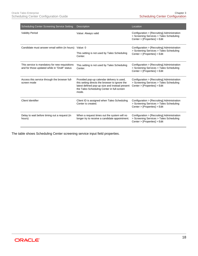| <b>Scheduling Center Screening Service Setting</b>                                              | <b>Description</b>                                                                                                                                                                                    | Location                                                                                                               |
|-------------------------------------------------------------------------------------------------|-------------------------------------------------------------------------------------------------------------------------------------------------------------------------------------------------------|------------------------------------------------------------------------------------------------------------------------|
| <b>Validity Period</b>                                                                          | Value: Always valid                                                                                                                                                                                   | Configuration > [Recruiting] Administration<br>> Screening Services > Taleo Scheduling<br>Center > [Properties] > Edit |
| Candidate must answer email within (in hours)                                                   | Value: 0<br>This setting is not used by Taleo Scheduling<br>Center.                                                                                                                                   | Configuration > [Recruiting] Administration<br>> Screening Services > Taleo Scheduling<br>Center > [Properties] > Edit |
| This service is mandatory for new requisitions<br>and for those updated while in "Draft" status | This setting is not used by Taleo Scheduling<br>Center.                                                                                                                                               | Configuration > [Recruiting] Administration<br>> Screening Services > Taleo Scheduling<br>Center > [Properties] > Edit |
| Access this service through the browser full-<br>screen mode                                    | Provided pop-up calendar delivery is used,<br>this setting directs the browser to ignore the<br>latest defined pop-up size and instead present<br>the Taleo Scheduling Center in full-screen<br>mode. | Configuration > [Recruiting] Administration<br>> Screening Services > Taleo Scheduling<br>Center > [Properties] > Edit |
| Client Identifier                                                                               | Client ID is assigned when Taleo Scheduling<br>Center is created.                                                                                                                                     | Configuration > [Recruiting] Administration<br>> Screening Services > Taleo Scheduling<br>Center > [Properties] > Edit |
| Delay to wait before timing out a request (in<br>hours)                                         | When a request times out the system will no<br>longer try to receive a candidate appointment.                                                                                                         | Configuration > [Recruiting] Administration<br>> Screening Services > Taleo Scheduling<br>Center > [Properties] > Edit |

The table shows Scheduling Center screening service input field properties.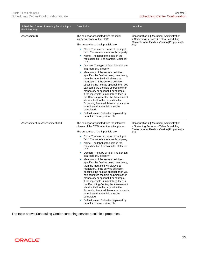| <b>Scheduling Center Screening Service Input</b><br><b>Field Property</b> | <b>Description</b>                                                                                                                                                                                                                                                                                                                                                                                                                                                                                                                                                                                                                                                                                                                                                                                                                                                                                                       | Location                                                                                                                                         |
|---------------------------------------------------------------------------|--------------------------------------------------------------------------------------------------------------------------------------------------------------------------------------------------------------------------------------------------------------------------------------------------------------------------------------------------------------------------------------------------------------------------------------------------------------------------------------------------------------------------------------------------------------------------------------------------------------------------------------------------------------------------------------------------------------------------------------------------------------------------------------------------------------------------------------------------------------------------------------------------------------------------|--------------------------------------------------------------------------------------------------------------------------------------------------|
| AssessmentID                                                              | The calendar associated with the initial<br>interview phase of the CSW.                                                                                                                                                                                                                                                                                                                                                                                                                                                                                                                                                                                                                                                                                                                                                                                                                                                  | Configuration > [Recruiting] Administration<br>> Screening Services > Taleo Scheduling                                                           |
|                                                                           | The properties of the input field are:                                                                                                                                                                                                                                                                                                                                                                                                                                                                                                                                                                                                                                                                                                                                                                                                                                                                                   | Center > Input Fields > Version [Properties] ><br>Edit                                                                                           |
|                                                                           | Code: The internal name of the input<br>$\bullet$<br>field. The code is a read-only property.<br>Name: The label of the field in the<br>requisition file. For example, Calendar<br>ID 1.<br>Domain: The type of field. The domain<br>$\bullet$<br>is a read-only property.<br>Mandatory: If the service definition<br>$\bullet$<br>specifies the field as being mandatory,<br>then the input field will always be<br>mandatory. If the service definition<br>specifies the field as optional, then you<br>can configure the field as being either<br>mandatory or optional. For example,<br>if the input field is mandatory, then in<br>the Recruiting Center, the Assessment<br>Version field in the requisition file<br>Screening block will have a red asterisk<br>to indicate that the field must be<br>completed.<br>Default Value: Calendar displayed by<br>default in the requisition file.                       |                                                                                                                                                  |
| AssessementId2-AssessementId10                                            | The calendar associated with the interview<br>phases of the CSW, after the initial phase.<br>The properties of the input field are:<br>• Code: The internal name of the input<br>field. The code is a read-only property.<br>Name: The label of the field in the<br>requisition file. For example, Calendar<br>ID 1.<br>Domain: The type of field. The domain<br>is a read-only property.<br>Mandatory: If the service definition<br>specifies the field as being mandatory,<br>then the input field will always be<br>mandatory. If the service definition<br>specifies the field as optional, then you<br>can configure the field as being either<br>mandatory or optional. For example,<br>if the input field is mandatory, then in<br>the Recruiting Center, the Assessment<br>Version field in the requisition file<br>Screening block will have a red asterisk<br>to indicate that the field must be<br>completed. | Configuration > [Recruiting] Administration<br>> Screening Services > Taleo Scheduling<br>Center > Input Fields > Version [Properties] ><br>Edit |
|                                                                           | Default Value: Calendar displayed by<br>$\bullet$<br>default in the requisition file.                                                                                                                                                                                                                                                                                                                                                                                                                                                                                                                                                                                                                                                                                                                                                                                                                                    |                                                                                                                                                  |

The table shows Scheduling Center screening service result field properties.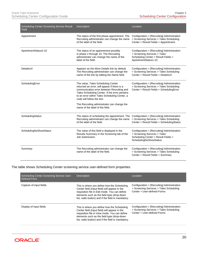| <b>Scheduling Center Screening Service Result</b><br>Field | <b>Description</b>                                                                                                                                                                                                                                                | Location                                                                                                                                     |
|------------------------------------------------------------|-------------------------------------------------------------------------------------------------------------------------------------------------------------------------------------------------------------------------------------------------------------------|----------------------------------------------------------------------------------------------------------------------------------------------|
| Appointment                                                | The status of the first phase appointment. The<br>Recruiting administrator can change the name<br>of the label of the field.                                                                                                                                      | Configuration > [Recruiting] Administration<br>> Screening Services > Taleo Scheduling<br>Center > Result Fields > Appointment               |
| ApointmentStatus2-10                                       | The status of an appointment possibly<br>in phase 2 through 10. The Recruiting<br>administrator can change the name of the<br>label of the field.                                                                                                                 | Configuration > [Recruiting] Administration<br>> Screening Services > Taleo<br>Scheduling Center > Result Fields ><br>ApointmentStatus1-10   |
| DetailsUrl                                                 | Appears as the More Details link by default.<br>The Recruiting administrator can change the<br>name of the link by editing the Name field.                                                                                                                        | Configuration > [Recruiting] Administration<br>> Screening Services > Taleo Scheduling<br>Center > Result Fields > DetailsUrl                |
| SchedulingError                                            | The value, Taleo Scheduling Center<br>returned an error, will appear if there is a<br>communication error between Recruiting and<br>Taleo Scheduling Center. If the error pertains<br>to an error within Taleo Scheduling Center, a<br>code will follow the text. | Configuration > [Recruiting] Administration<br>> Screening Services > Taleo Scheduling<br>Center > Result Fields > SchedulingError           |
|                                                            | The Recruiting administrator can change the<br>name of the label of the field.                                                                                                                                                                                    |                                                                                                                                              |
| SchedulingStatus                                           | The status of scheduling the appointment. The<br>Recruiting administrator can change the name<br>of the label of the field.                                                                                                                                       | Configuration > [Recruiting] Administration<br>> Screening Services > Taleo Scheduling<br>Center > Result Fields > SchedulingStatus          |
| SchedulingNoShowStatus                                     | The value of this field is displayed in the<br>Results Summary in the Screening tab of the<br>Job Submission.                                                                                                                                                     | Configuration > [Recruiting] Administration<br>> Screening Services > Taleo<br>Scheduling Center > Result Fields ><br>SchedulingNoShowStatus |
| Summary                                                    | The Recruiting administrator can change the<br>name of the label of the field.                                                                                                                                                                                    | Configuration > [Recruiting] Administration<br>> Screening Services > Taleo Scheduling<br>Center > Result Fields > Summary                   |

The table shows Scheduling Center screening service user-defined form properties.

| Scheduling Center Screening Service User-<br>Defined Form | <b>Description</b>                                                                                                                                                                                                                                | Location                                                                                                              |
|-----------------------------------------------------------|---------------------------------------------------------------------------------------------------------------------------------------------------------------------------------------------------------------------------------------------------|-----------------------------------------------------------------------------------------------------------------------|
| Capture of input fields                                   | This is where you define how the Scheduling<br>Center field (input field) will appear in the<br>requisition file in Edit mode. You can define<br>elements such as the field type (drop-down<br>list, radio button) and if the field is mandatory. | Configuration > [Recruiting] Administration<br>> Screening Services > Taleo Scheduling<br>Center > User-defined Forms |
| Display of input fields                                   | This is where you define how the Scheduling<br>Center field (input field) will appear in the<br>requisition file in View mode. You can define<br>elements such as the field type (drop-down<br>list, radio button) and if the field is mandatory. | Configuration > [Recruiting] Administration<br>> Screening Services > Taleo Scheduling<br>Center > User-defined Forms |

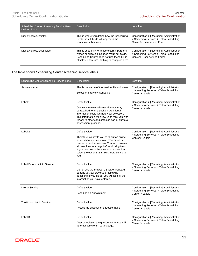| Scheduling Center Screening Service User-<br>Defined Form | <b>Description</b>                                                                                                                                                                                 | Location                                                                                                              |
|-----------------------------------------------------------|----------------------------------------------------------------------------------------------------------------------------------------------------------------------------------------------------|-----------------------------------------------------------------------------------------------------------------------|
| Display of result fields                                  | This is where you define how the Scheduling<br>Center result fields will appear in the<br>candidate submission.                                                                                    | Configuration > [Recruiting] Administration<br>> Screening Services > Taleo Scheduling<br>Center > User-defined Forms |
| Display of result set fields                              | This is used only for those external partners<br>whose certification includes result set fields.<br>Scheduling Center does not use these kinds<br>of fields. Therefore, nothing to configure here. | Configuration > [Recruiting] Administration<br>> Screening Services > Taleo Scheduling<br>Center > User-defined Forms |

#### The table shows Scheduling Center screening service labels.

| Scheduling Center Screening Service Label | <b>Description</b>                                                                                                                                                                                                                                                                                            | Location                                                                                                  |
|-------------------------------------------|---------------------------------------------------------------------------------------------------------------------------------------------------------------------------------------------------------------------------------------------------------------------------------------------------------------|-----------------------------------------------------------------------------------------------------------|
| Service Name                              | This is the name of the service. Default value:<br>Select an Interview Schedule                                                                                                                                                                                                                               | Configuration > [Recruiting] Administration<br>> Screening Services > Taleo Scheduling<br>Center > Labels |
| Label 1                                   | Default value:<br>Our initial review indicates that you may<br>be qualified for this position. Additional<br>information could facilitate your selection.<br>This information will allow us to rank you with<br>regard to other candidates as part of our total<br>assessment process.                        | Configuration > [Recruiting] Administration<br>> Screening Services > Taleo Scheduling<br>Center > Labels |
| Label 2                                   | Default value:<br>Therefore, we invite you to fill out an online<br>assessment questionnaire. This process<br>occurs in another window. You must answer<br>all questions in a page before clicking Next.<br>If you don't know the answer to a question,<br>select the option that makes more sense to<br>you. | Configuration > [Recruiting] Administration<br>> Screening Services > Taleo Scheduling<br>Center > Labels |
| Label Before Link to Service              | Default value:<br>Do not use the browser's Back or Forward<br>buttons to view previous or following<br>questions. If you do so, you will lose all the<br>information you have entered.                                                                                                                        | Configuration > [Recruiting] Administration<br>> Screening Services > Taleo Scheduling<br>Center > Labels |
| <b>Link to Service</b>                    | Default value:<br>Schedule an Appointment                                                                                                                                                                                                                                                                     | Configuration > [Recruiting] Administration<br>> Screening Services > Taleo Scheduling<br>Center > Labels |
| Tooltip for Link to Service               | Default value:<br>Access the assessment questionnaire                                                                                                                                                                                                                                                         | Configuration > [Recruiting] Administration<br>> Screening Services > Taleo Scheduling<br>Center > Labels |
| Label 3                                   | Default value:<br>After completing the questionnaire, you will<br>automatically return to this page.                                                                                                                                                                                                          | Configuration > [Recruiting] Administration<br>> Screening Services > Taleo Scheduling<br>Center > Labels |

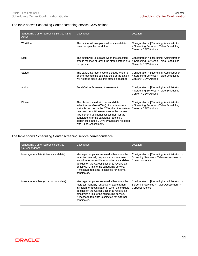#### The table shows Scheduling Center screening service CSW actions.

| <b>Scheduling Center Screening Service CSW</b><br>Action | <b>Description</b>                                                                                                                                                                                                                                                                                                                                        | Location                                                                                                       |
|----------------------------------------------------------|-----------------------------------------------------------------------------------------------------------------------------------------------------------------------------------------------------------------------------------------------------------------------------------------------------------------------------------------------------------|----------------------------------------------------------------------------------------------------------------|
| Workflow                                                 | The action will take place when a candidate<br>uses the specified workflow.                                                                                                                                                                                                                                                                               | Configuration > [Recruiting] Administration<br>> Screening Services > Taleo Scheduling<br>Center > CSW Actions |
| Step                                                     | The action will take place when the specified<br>step is reached or later if the status criteria are<br>not yet met.                                                                                                                                                                                                                                      | Configuration > [Recruiting] Administration<br>> Screening Services > Taleo Scheduling<br>Center > CSW Actions |
| <b>Status</b>                                            | The candidate must have this status when he<br>or she reaches the selected step or the action<br>will not take place until this status is reached.                                                                                                                                                                                                        | Configuration > [Recruiting] Administration<br>> Screening Services > Taleo Scheduling<br>Center > CSW Actions |
| Action                                                   | Send Online Screening Assessment                                                                                                                                                                                                                                                                                                                          | Configuration > [Recruiting] Administration<br>> Screening Services > Taleo Scheduling<br>Center > CSW Actions |
| Phase                                                    | The phase is used with the candidate<br>selection workflow (CSW). If a certain step/<br>status is reached in the CSW, then the system<br>can send out a Phase request to the partner<br>(like perform additional assessment for the<br>candidate after the candidate reached a<br>certain step in the CSW). Phases are not used<br>with Taleo Assessment. | Configuration > [Recruiting] Administration<br>> Screening Services > Taleo Scheduling<br>Center > CSW Actions |

#### The table shows Scheduling Center screening service correspondence.

| <b>Scheduling Center Screening Service</b><br>Correspondence | <b>Description</b>                                                                                                                                                                                                                                                                                       | Location                                                                                                   |
|--------------------------------------------------------------|----------------------------------------------------------------------------------------------------------------------------------------------------------------------------------------------------------------------------------------------------------------------------------------------------------|------------------------------------------------------------------------------------------------------------|
| Message template (internal candidate)                        | Message templates are used either when the<br>recruiter manually requests an appointment<br>invitation for a candidate, or when a candidate<br>decides on the Career Section to receive an<br>email with a link to the scheduling service.<br>A message template is selected for internal<br>candidates. | Configuration > [Recruiting] Administration ><br>Screening Services > Taleo Assessment ><br>Correspondence |
| Message template (external candidate)                        | Message templates are used either when the<br>recruiter manually requests an appointment<br>invitation for a candidate, or when a candidate<br>decides on the Career Section to receive an<br>email with a link to the scheduling service.<br>A message template is selected for external<br>candidates. | Configuration > [Recruiting] Administration ><br>Screening Services > Taleo Assessment ><br>Correspondence |

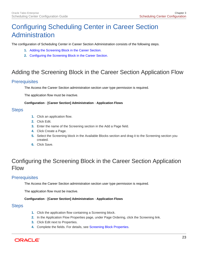# <span id="page-28-0"></span>Configuring Scheduling Center in Career Section Administration

The configuration of Scheduling Center in Career Section Administration consists of the following steps.

- **1.** [Adding the Screening Block in the Career Section.](#page-28-1)
- **2.** [Configuring the Screening Block in the Career Section.](#page-28-2)

### <span id="page-28-1"></span>Adding the Screening Block in the Career Section Application Flow

#### **Prerequisites**

The Access the Career Section administration section user type permission is required.

The application flow must be inactive.

#### **Configuration** - **[Career Section] Administration** - **Application Flows**

#### Steps

- **1.** Click an application flow.
- **2.** Click Edit.
- **3.** Enter the name of the Screening section in the Add a Page field.
- **4.** Click Create a Page.
- **5.** Select the Screening block in the Available Blocks section and drag it to the Screening section you created.
- **6.** Click Save.

### <span id="page-28-2"></span>Configuring the Screening Block in the Career Section Application Flow

#### **Prerequisites**

The Access the Career Section administration section user type permission is required.

The application flow must be inactive.

#### **Configuration** - **[Career Section] Administration** - **Application Flows**

#### Steps

- **1.** Click the application flow containing a Screening block.
- **2.** In the Application Flow Properties page, under Page Ordering, click the Screening link.
- **3.** Click Edit next to Properties.
- **4.** Complete the fields. For details, see [Screening Block Properties](#page-29-1).

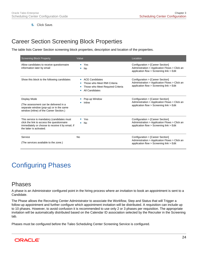**5.** Click Save.

### <span id="page-29-1"></span>Career Section Screening Block Properties

The table lists Career Section screening block properties, description and location of the properties.

| <b>Screening Block Property</b>                                                                                                                                          | Value                                                                                                                                | Location                                                                                                                      |
|--------------------------------------------------------------------------------------------------------------------------------------------------------------------------|--------------------------------------------------------------------------------------------------------------------------------------|-------------------------------------------------------------------------------------------------------------------------------|
| Allow candidates to receive questionnaire<br>information later by email                                                                                                  | Yes<br>No                                                                                                                            | Configuration > [Career Section]<br>Administration > Application Flows > Click an<br>application flow > Screening link > Edit |
| Show this block to the following candidates                                                                                                                              | <b>ACE Candidates</b><br>$\bullet$<br>Those who Meet RMI Criteria<br>Those who Meet Required Criteria<br>All Candidates<br>$\bullet$ | Configuration > [Career Section]<br>Administration > Application Flows > Click an<br>application flow > Screening link > Edit |
| Display Mode<br>(The assessment can be delivered in a<br>separate window (pop-up) or in the same<br>window (inline) of the Career Section.)                              | Pop-up Window<br>Inline                                                                                                              | Configuration > [Career Section]<br>Administration > Application Flows > Click an<br>application flow > Screening link > Edit |
| This service is mandatory (candidates must<br>click the link to access the questionnaire<br>immediately or choose to receive it by email, if<br>the latter is activated. | Yes<br>No<br>$\bullet$                                                                                                               | Configuration > [Career Section]<br>Administration > Application Flows > Click an<br>application flow > Screening link > Edit |
| Service<br>(The services available to the zone.)                                                                                                                         | <b>No</b>                                                                                                                            | Configuration > [Career Section]<br>Administration > Application Flows > Click an<br>application flow > Screening link > Edit |

# <span id="page-29-0"></span>Configuring Phases

### Phases

A phase is an Administrator configured point in the hiring process where an invitation to book an appointment is sent to a Candidate.

The Phase allows the Recruiting Center Administrator to associate the Workflow, Step and Status that will Trigger a follow-up appointment and further configure which appointment invitation will be distributed. A requisition can include up to 10 phases. However, to avoid confusion it is recommended to use only 2 or 3 phases per requisition. The appropriate invitation will be automatically distributed based on the Calendar ID association selected by the Recruiter in the Screening tab.

Phases must be configured before the Taleo Scheduling Center Screening Service is configured.

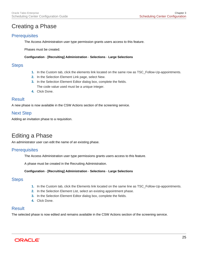### Creating a Phase

#### **Prerequisites**

The Access Administration user type permission grants users access to this feature.

Phases must be created.

#### **Configuration** - **[Recruiting] Administration** - **Selections** - **Large Selections**

#### Steps

- **1.** In the Custom tab, click the elements link located on the same row as TSC\_Follow-Up-appointments.
- **2.** In the Selection Element Link page, select New.
- **3.** In the Selection Element Editor dialog box, complete the fields. The code value used must be a unique integer.
- **4.** Click Done.

#### **Result**

A new phase is now available in the CSW Actions section of the screening service.

#### Next Step

Adding an invitation phase to a requisition.

### Editing a Phase

An administrator user can edit the name of an existing phase.

#### **Prerequisites**

The Access Administration user type permissions grants users access to this feature.

A phase must be created in the Recruiting Administration.

#### **Configuration** - **[Recruiting] Administration** - **Selections** - **Large Selections**

#### **Steps**

- **1.** In the Custom tab, click the Elements link located on the same line as TSC\_Follow-Up-appointments.
- **2.** In the Selection Element List, select an existing appointment phase.
- **3.** In the Selection Element Editor dialog box, complete the fields.
- **4.** Click Done.

#### **Result**

The selected phase is now edited and remains available in the CSW Actions section of the screening service.

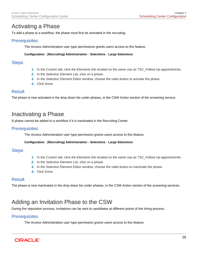### Activating a Phase

To add a phase to a workflow, the phase must first be activated in the recruiting.

#### **Prerequisites**

The Access Administration user type permissions grants users access to this feature.

#### **Configuration** - **[Recruiting] Administration** - **Selections** - **Large Selections**

#### **Steps**

- **1.** In the Custom tab, click the Elements link located on the same row as TSC\_Follow-Up-appointments.
- **2.** In the Selection Element List, click on a phase.
- **3.** In the Selection Element Editor window, choose the radio button to activate the phase.
- **4.** Click Done.

#### **Result**

The phase is now activated in the drop down list under phases, in the CSW Action section of the screening service.

### Inactivating a Phase

A phase cannot be added to a workflow if it is inactivated in the Recruiting Center.

#### Prerequisites

The Access Administration user type permission grants users access to this feature.

#### **Configuration** - **[Recruiting] Administration** - **Selections** - **Large Selections**

#### Steps

- **1.** In the Custom tab, click the Elements link located on the same row as TSC\_Follow-Up-appointments.
- **2.** In the Selection Element List, click on a phase.
- **3.** In the Selection Element Editor window, choose the radio button to inactivate the phase.
- **4.** Click Done.

#### **Result**

The phase is now inactivated in the drop down list under phases, in the CSW Action section of the screening services.

### Adding an Invitation Phase to the CSW

During the requisition process, invitations can be sent to candidates at different points of the hiring process.

#### **Prerequisites**

The Access Administration user type permission grants users access to this feature.

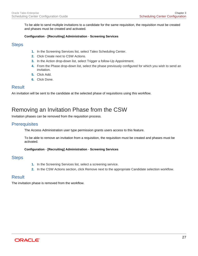To be able to send multiple invitations to a candidate for the same requisition, the requisition must be created and phases must be created and activated.

#### **Configuration** - **[Recruiting] Administration** - **Screening Services**

#### Steps

- **1.** In the Screening Services list, select Taleo Scheduling Center.
- **2.** Click Create next to CSW Actions.
- **3.** In the Action drop-down list, select Trigger a follow-Up Appointment.
- **4.** From the Phase drop-down list, select the phase previously configured for which you wish to send an invitation.
- **5.** Click Add.
- **6.** Click Done.

#### **Result**

An invitation will be sent to the candidate at the selected phase of requisitions using this workflow.

### Removing an Invitation Phase from the CSW

Invitation phases can be removed from the requisition process.

#### **Prerequisites**

The Access Administration user type permission grants users access to this feature.

To be able to remove an invitation from a requisition, the requisition must be created and phases must be activated.

#### **Configuration** - **[Recruiting] Administration** - **Screening Services**

#### **Steps**

- **1.** In the Screening Services list, select a screening service.
- **2.** In the CSW Actions section, click Remove next to the appropriate Candidate selection workflow.

#### **Result**

The invitation phase is removed from the workflow.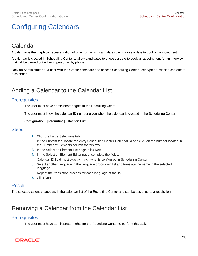# <span id="page-33-0"></span>Configuring Calendars

### Calendar

A calendar is the graphical representation of time from which candidates can choose a date to book an appointment.

A calendar is created in Scheduling Center to allow candidates to choose a date to book an appointment for an interview that will be carried out either in person or by phone.

Only an Administrator or a user with the Create calendars and access Scheduling Center user type permission can create a calendar.

### Adding a Calendar to the Calendar List

#### **Prerequisites**

The user must have administrator rights to the Recruiting Center.

The user must know the calendar ID number given when the calendar is created in the Scheduling Center.

#### **Configuration** - **[Recruiting] Selection List**

#### Steps

- **1.** Click the Large Selections tab.
- **2.** In the Custom tab, locate the entry Scheduling-Center-Calendar-Id and click on the number located in the Number of Elements column for this row.
- **3.** In the Selection Element List page, click New.
- **4.** In the Selection Element Editor page, complete the fields. Calendar ID field must exactly match what is configured in Scheduling Center.
- **5.** Select another language in the language drop-down list and translate the name in the selected language.
- **6.** Repeat the translation process for each language of the list.
- **7.** Click Done.

#### **Result**

The selected calendar appears in the calendar list of the Recruiting Center and can be assigned to a requisition.

### Removing a Calendar from the Calendar List

#### **Prerequisites**

The user must have administrator rights for the Recruiting Center to perform this task.

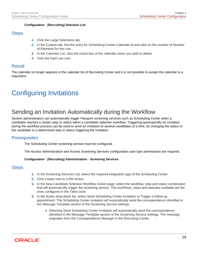#### **Configuration** - **[Recruiting] Selection List**

#### Steps

- **1.** Click the Large Selections tab.
- **2.** In the Custom tab, find the entry for Scheduling-Center-Calendar-Id and click on the number of Number of Elements for this row...
- **3.** In the Calendar List, click the check box of the calendar name you wish to delete.
- **4.** Click the trash can icon.

#### **Result**

The calendar no longer appears in the calendar list of Recruiting Center and it is not possible to assign the calendar to a requisition.

# <span id="page-34-0"></span>Configuring Invitations

### Sending an Invitation Automatically during the Workflow

System administrators can automatically trigger Passport screening services such as Scheduling Center when a candidate reaches a certain step or status within a candidate selection workflow. Triggering automatically an invitation during the workflow process can be used to send an invitation to several candidates at a time, by changing the status of the candidate to a determined step or status triggering the invitation.

#### **Prerequisites**

The Scheduling Center screening service must be configured.

The Access Administration and Access Screening Services configuration user type permissions are required.

#### **Configuration** - **[Recruiting] Administration** - **Screening Services**

#### Steps

- **1.** In the Screening Services List, select the required integration type of the Scheduling Center.
- **2.** Click Create next to CSW Action.
- **3.** In the New Candidate Selection Workflow Action page, select the workflow, step and status combination that will automatically trigger the screening service. The workflows, steps and statuses available are the ones configured in the Taleo zone.
- **4.** In the Action drop-down list, select Send Scheduling Center Invitation or Trigger a follow-up appointment. The Scheduling Center invitation will automatically send the correspondence identified in the Message Template section of the Screening Service settings.
	- Selecting Send Scheduling Center Invitation will automatically send the correspondence identified in the Message Template section of the Screening Service settings. The message originates from the Correspondence Manager in the Recruiting Center.

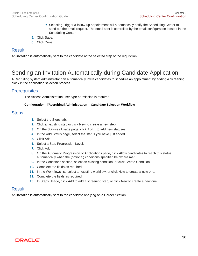- Selecting Trigger a follow-up appointment will automatically notify the Scheduling Center to send out the email request. The email sent is controlled by the email configuration located in the Scheduling Center.
- **5.** Click Save.
- **6.** Click Done.

#### **Result**

An invitation is automatically sent to the candidate at the selected step of the requisition.

### Sending an Invitation Automatically during Candidate Application

A Recruiting system administrator can automatically invite candidates to schedule an appointment by adding a Screening block in the application selection process.

#### **Prerequisites**

The Access Administration user type permission is required.

#### **Configuration** - **[Recruiting] Administration** - **Candidate Selection Workflow**

#### Steps

- **1.** Select the Steps tab.
- **2.** Click an existing step or click New to create a new step.
- **3.** On the Statuses Usage page, click Add... to add new statuses.
- **4.** In the Add Status page, select the status you have just added.
- **5.** Click Add.
- **6.** Select a Step Progression Level.
- **7.** Click Add.
- **8.** On the Automatic Progression of Applications page, click Allow candidates to reach this status automatically when the (optional) conditions specified below are met.
- **9.** In the Conditions section, select an existing condition, or click Create Condition.
- **10.** Complete the fields as required.
- **11.** In the Workflows list, select an existing workflow, or click New to create a new one.
- **12.** Complete the fields as required.
- **13.** In Steps Usage, click Add to add a screening step, or click New to create a new one.

#### **Result**

An invitation is automatically sent to the candidate applying on a Career Section.

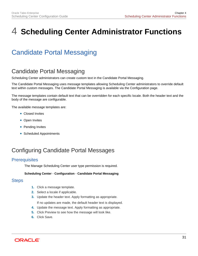# <span id="page-36-0"></span>4 **Scheduling Center Administrator Functions**

# <span id="page-36-1"></span>Candidate Portal Messaging

### Candidate Portal Messaging

Scheduling Center administrators can create custom text in the Candidate Portal Messaging.

The Candidate Portal Messaging uses message templates allowing Scheduling Center administrators to override default text within custom messages. The Candidate Portal Messaging is available via the Configuration page.

The message templates contain default text that can be overridden for each specific locale. Both the header text and the body of the message are configurable.

The available message templates are:

- Closed Invites
- Open Invites
- Pending Invites
- Scheduled Appointments

### Configuring Candidate Portal Messages

#### **Prerequisites**

The Manage Scheduling Center user type permission is required.

#### **Scheduling Center** - **Configuration** - **Candidate Portal Messaging**

#### Steps

- **1.** Click a message template.
- **2.** Select a locale if applicable.
- **3.** Update the header text. Apply formatting as appropriate.
	- If no updates are made, the default header text is displayed.
- **4.** Update the message text. Apply formatting as appropriate.
- **5.** Click Preview to see how the message will look like.
- **6.** Click Save.

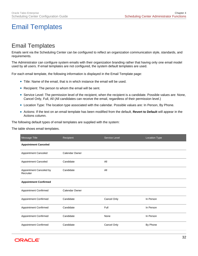# <span id="page-37-0"></span>Email Templates

### Email Templates

Emails sent via the Scheduling Center can be configured to reflect an organization communication style, standards, and requirements.

The Administrator can configure system emails with their organization branding rather that having only one email model used by all users. If email templates are not configured, the system default templates are used.

For each email template, the following information is displayed in the Email Template page:

- Title: Name of the email, that is in which instance the email will be used.
- Recipient: The person to whom the email will be sent.
- Service Level: The permission level of the recipient, when the recipient is a candidate. Possible values are: None, Cancel Only, Full, All (All candidates can receive the email, regardless of their permission level.)
- Location Type: The location type associated with the calendar. Possible values are: In Person, By Phone.
- Actions: If the text on an email template has been modified from the default, **Revert to Default** will appear in the Actions column.

The following default types of email templates are supplied with the system:

The table shows email templates.

| <b>Message Title</b>                 | Recipient             | <b>Service Level</b> | <b>Location Type</b> |
|--------------------------------------|-----------------------|----------------------|----------------------|
| <b>Appointment Canceled</b>          |                       |                      |                      |
| Appointment Canceled                 | <b>Calendar Owner</b> |                      |                      |
| Appointment Canceled                 | Candidate             | All                  |                      |
| Appointment Canceled by<br>Recruiter | Candidate             | All                  |                      |
| <b>Appointment Confirmed</b>         |                       |                      |                      |
| <b>Appointment Confirmed</b>         | Calendar Owner        |                      |                      |
| <b>Appointment Confirmed</b>         | Candidate             | Cancel Only          | In Person            |
| <b>Appointment Confirmed</b>         | Candidate             | Full                 | In Person            |
| Appointment Confirmed                | Candidate             | None                 | In Person            |
| <b>Appointment Confirmed</b>         | Candidate             | Cancel Only          | By Phone             |

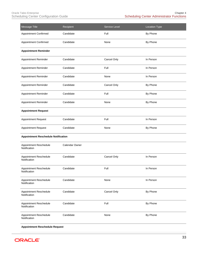| <b>Message Title</b>                       | Recipient      | <b>Service Level</b> | <b>Location Type</b> |
|--------------------------------------------|----------------|----------------------|----------------------|
| Appointment Confirmed                      | Candidate      | Full                 | By Phone             |
| Appointment Confirmed                      | Candidate      | None                 | By Phone             |
| <b>Appointment Reminder</b>                |                |                      |                      |
| Appointment Reminder                       | Candidate      | Cancel Only          | In Person            |
| Appointment Reminder                       | Candidate      | Full                 | In Person            |
| Appointment Reminder                       | Candidate      | None                 | In Person            |
| Appointment Reminder                       | Candidate      | Cancel Only          | By Phone             |
| Appointment Reminder                       | Candidate      | Full                 | By Phone             |
| Appointment Reminder                       | Candidate      | None                 | By Phone             |
| <b>Appointment Request</b>                 |                |                      |                      |
| Appointment Request                        | Candidate      | Full                 | In Person            |
| Appointment Request                        | Candidate      | None                 | By Phone             |
| <b>Appointment Reschedule Notification</b> |                |                      |                      |
| Appointment Reschedule<br>Notification     | Calendar Owner |                      |                      |
| Appointment Reschedule<br>Notification     | Candidate      | Cancel Only          | In Person            |
| Appointment Reschedule<br>Notification     | Candidate      | Full                 | In Person            |
| Appointment Reschedule<br>Notification     | Candidate      | None                 | In Person            |
| Appointment Reschedule<br>Notification     | Candidate      | Cancel Only          | By Phone             |
| Appointment Reschedule<br>Notification     | Candidate      | Full                 | By Phone             |
| Appointment Reschedule<br>Notification     | Candidate      | None                 | By Phone             |

**Appointment Reschedule Request**

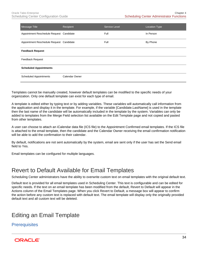| Message Title                            | Recipient      | Service Level | <b>Location Type</b> |
|------------------------------------------|----------------|---------------|----------------------|
| Appointment Reschedule Request Candidate |                | Full          | In Person            |
| Appointment Reschedule Request Candidate |                | Full          | By Phone             |
| <b>Feedback Request</b>                  |                |               |                      |
| <b>Feedback Request</b>                  |                |               |                      |
| <b>Scheduled Appointments</b>            |                |               |                      |
| <b>Scheduled Appointments</b>            | Calendar Owner |               |                      |

Templates cannot be manually created, however default templates can be modified to the specific needs of your organization. Only one default template can exist for each type of email.

A template is edited either by typing text or by adding variables. These variables will automatically call information from the application and display it in the template. For example, if the variable [Candidate.LastName] is used in the template then the last name of the candidate will be automatically included in the template by the system. Variables can only be added to templates from the Merge Field selection list available on the Edit Template page and not copied and pasted from other templates.

A user can choose to attach an iCalendar data file (ICS file) to the Appointment Confirmed email templates. If the ICS file is attached to the email template, then the candidate and the Calendar Owner receiving the email confirmation notification will be able to add the confirmation to their calendar.

By default, notifications are not sent automatically by the system, email are sent only if the user has set the Send email field to Yes.

Email templates can be configured for multiple languages.

### Revert to Default Available for Email Templates

Scheduling Center administrators have the ability to overwrite custom text on email templates with the original default text.

Default text is provided for all email templates used in Scheduling Center. This text is configurable and can be edited for specific needs. If the text on an email template has been modified from the default, Revert to Default will appear in the Actions column of the Email Templates page. When you click Revert to Default, a message box will appear to confirm the action before any custom text is replaced with default text. The email template will display only the originally provided default text and all custom text will be deleted.

### Editing an Email Template

**Prerequisites** 

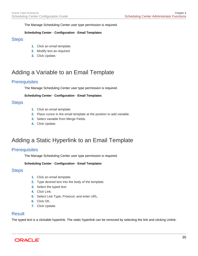The Manage Scheduling Center user type permission is required.

#### **Scheduling Center** - **Configuration** - **Email Templates**

#### Steps

- **1.** Click an email template.
- **2.** Modify text as required.
- **3.** Click Update.

### Adding a Variable to an Email Template

#### **Prerequisites**

The Manage Scheduling Center user type permission is required.

#### **Scheduling Center** - **Configuration** - **Email Templates**

#### **Steps**

- **1.** Click an email template.
- **2.** Place cursor in the email template at the position to add variable.
- **3.** Select variable from Merge Fields.
- **4.** Click Update.

### Adding a Static Hyperlink to an Email Template

#### **Prerequisites**

The Manage Scheduling Center user type permission is required.

#### **Scheduling Center** - **Configuration** - **Email Templates**

#### **Steps**

- **1.** Click an email template.
- **2.** Type desired text into the body of the template.
- **3.** Select the typed text.
- **4.** Click Link.
- **5.** Select Link Type, Protocol, and enter URL.
- **6.** Click OK.
- **7.** Click Update.

#### **Result**

The typed text is a clickable hyperlink. The static hyperlink can be removed by selecting the link and clicking Unlink.

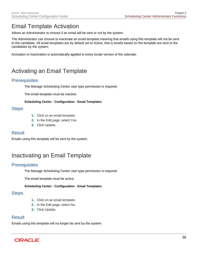### Email Template Activation

Allows an Administrator to choose if an email will be sent or not by the system.

The Administrator can choose to inactivate an email template meaning that emails using this template will not be sent to the candidate. All email templates are by default set to Active, that is emails based on the template are sent to the candidates by the system.

Activation or inactivation is automatically applied to every locale version of the calendar.

### Activating an Email Template

#### **Prerequisites**

The Manage Scheduling Center user type permission is required.

The email template must be inactive.

#### **Scheduling Center** - **Configuration** - **Email Templates**

#### **Steps**

- **1.** Click on an email template.
- **2.** In the Edit page, select Yes.
- **3.** Click Update.

#### **Result**

Emails using this template will be sent by the system.

### Inactivating an Email Template

#### **Prerequisites**

The Manage Scheduling Center user type permission is required.

The email template must be active.

#### **Scheduling Center** - **Configuration** - **Email Templates**

#### **Steps**

- **1.** Click on an email template.
- **2.** In the Edit page, select No.
- **3.** Click Update.

#### Result

Emails using this template will no longer be sent by the system.

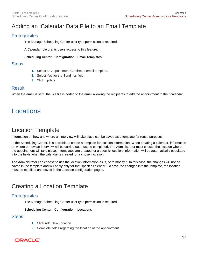### Adding an iCalendar Data File to an Email Template

#### **Prerequisites**

The Manage Scheduling Center user type permission is required.

A Calendar role grants users access to this feature.

#### **Scheduling Center** - **Configuration** - **Email Templates**

#### Steps

- **1.** Select an Appointment Confirmed email template.
- **2.** Select Yes for the Send .ics field.
- **3.** Click Update.

#### **Result**

When the email is sent, the .ics file is added to the email allowing the recipients to add the appointment to their calendar.

# <span id="page-42-0"></span>Locations

### Location Template

Information on how and where an interview will take place can be saved as a template for reuse purposes.

In the Scheduling Center, it is possible to create a template for location information. When creating a calendar, information on where or how an interview will be carried out must be completed. The Administrator must choose the location where the appointment will take place. If templates are created for a specific location, information will be automatically populated into the fields when the calendar is created for a chosen location.

The Administrator can choose to use the location information as is, or to modify it. In this case, the changes will not be saved in the template and will apply only for that specific calendar. To save the changes into the template, the location must be modified and saved in the Location configuration pages.

### Creating a Location Template

#### **Prerequisites**

The Manage Scheduling Center user type permission is required.

#### **Scheduling Center** - **Configuration** - **Locations**

#### Steps

- **1.** Click Add New Location.
- **2.** Complete fields regarding the location of the appointment.

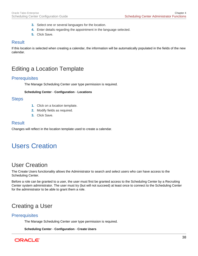- **3.** Select one or several languages for the location.
- **4.** Enter details regarding the appointment in the language selected.
- **5.** Click Save.

#### **Result**

If this location is selected when creating a calendar, the information will be automatically populated in the fields of the new calendar.

### Editing a Location Template

#### **Prerequisites**

The Manage Scheduling Center user type permission is required.

#### **Scheduling Center** - **Configuration** - **Locations**

#### **Steps**

- **1.** Click on a location template.
- **2.** Modify fields as required.
- **3.** Click Save.

#### **Result**

Changes will reflect in the location template used to create a calendar.

# <span id="page-43-0"></span>Users Creation

### User Creation

The Create Users functionality allows the Administrator to search and select users who can have access to the Scheduling Center.

Before a role can be granted to a user, the user must first be granted access to the Scheduling Center by a Recruiting Center system administrator. The user must try (but will not succeed) at least once to connect to the Scheduling Center for the administrator to be able to grant them a role.

### Creating a User

#### **Prerequisites**

The Manage Scheduling Center user type permission is required.

#### **Scheduling Center** - **Configuration** - **Create Users**

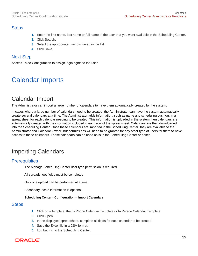#### Steps

- **1.** Enter the first name, last name or full name of the user that you want available in the Scheduling Center.
- **2.** Click Search.
- **3.** Select the appropriate user displayed in the list.
- **4.** Click Save.

#### Next Step

Access Taleo Configuration to assign login rights to the user.

# <span id="page-44-0"></span>Calendar Imports

### Calendar Import

The Administrator can import a large number of calendars to have them automatically created by the system.

In cases where a large number of calendars need to be created, the Administrator can have the system automatically create several calendars at a time. The Administrator adds information, such as name and scheduling cushion, in a spreadsheet for each calendar needing to be created. This information is uploaded in the system then calendars are automatically created with the information included in each row of the spreadsheet. Calendars are then downloaded into the Scheduling Center. Once these calendars are imported in the Scheduling Center, they are available to the Administrator and Calendar Owner, but permissions will need to be granted for any other type of users for them to have access to these calendars. These calendars can be used as is in the Scheduling Center or edited.

### Importing Calendars

#### **Prerequisites**

The Manage Scheduling Center user type permission is required.

All spreadsheet fields must be completed.

Only one upload can be performed at a time.

Secondary locale information is optional.

#### **Scheduling Center** - **Configuration** - **Import Calendars**

#### **Steps**

- **1.** Click on a template, that is Phone Calendar Template or In Person Calendar Template.
- **2.** Click Open.
- **3.** In the displayed spreadsheet, complete all fields for each calendar to be created.
- **4.** Save the Excel file in a CSV format.
- **5.** Log back in to the Scheduling Center.

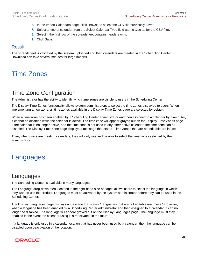- **6.** In the Import Calendars page, click Browse to select the CSV file previously saved.
- **7.** Select a type of calendar from the Select Calendar Type field (same type as for the CSV file).
- **8.** Select if the first row of the spreadsheet contains headers or not.
- **9.** Click Save.

#### **Result**

The spreadsheet is validated by the system, uploaded and then calendars are created in the Scheduling Center. Download can take several minutes for large imports.

# <span id="page-45-0"></span>Time Zones

### Time Zone Configuration

The Administrator has the ability to identify which time zones are visible to users in the Scheduling Center.

The Display Time Zones functionality allows system administrators to select the time zones displayed to users. When implementing a new zone, all time zones available in the Display Time Zones page are selected by default.

When a time zone has been enabled by a Scheduling Center administrator and then assigned to a calendar by a recruiter, it cannot be disabled while the calendar is active. The time zone will appear grayed out on the Display Time Zones page. If the calendar is no longer active, and the time zone is not used in any other active calendar, the time zone can be disabled. The Display Time Zone page displays a message that states "Time Zones that are not editable are in use."

Then, when users are creating calendars, they will only see and be able to select the time zones selected by the administrator.

# <span id="page-45-1"></span>**Languages**

### Languages

The Scheduling Center is available in many languages.

The Language drop-down menu located in the right-hand side of pages allows users to select the language in which they want to use the product. Languages must be activated by the system administrator before they can be used in the Scheduling Center.

The Display Languages page displays a message that states "Languages that are not editable are in use." However, when a language has been enabled by a Scheduling Center administrator and then assigned to a calendar, it can no longer be disabled. The language will appear grayed out on the Display Languages page. The language must stay enabled in the event the calendar using it is reactivated in the future.

If a language is only used in a calendar location that has never been used by a calendar, then the language can be disabled upon deactivation of the location.

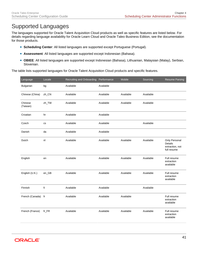### Supported Languages

The languages supported for Oracle Talent Acquisition Cloud products as well as specific features are listed below. For details regarding language availability for Oracle Learn Cloud and Oracle Taleo Business Edition, see the documentation for those products.

- **Scheduling Center**: All listed languages are supported except Portuguese (Portugal).
- **Assessment**: All listed languages are supported except Indonesian (Bahasa).
- **OBIEE**: All listed languages are supported except Indonesian (Bahasa), Lithuanian, Malaysian (Malay), Serbian, Slovenian.

The table lists supported languages for Oracle Talent Acquisition Cloud products and specific features.

| Language            | Locale | Recruiting and Onboarding Performance |           | Mobile    | Sourcing  | <b>Resume Parsing</b>                                      |
|---------------------|--------|---------------------------------------|-----------|-----------|-----------|------------------------------------------------------------|
| Bulgarian           | bg     | Available                             | Available |           |           |                                                            |
| Chinese (China)     | zh_CN  | Available                             | Available | Available | Available |                                                            |
| Chinese<br>(Taiwan) | zh_TW  | Available                             | Available | Available | Available |                                                            |
| Croatian            | hr     | Available                             | Available |           |           |                                                            |
| Czech               | CS     | Available                             | Available |           | Available |                                                            |
| Danish              | da     | Available                             | Available |           |           |                                                            |
| Dutch               | nl     | Available                             | Available | Available | Available | Only Personal<br>Details<br>extraction, not<br>full resume |
| English             | en     | Available                             | Available | Available | Available | Full resume<br>extraction<br>available                     |
| English (U.K.)      | en_GB  | Available                             | Available | Available | Available | Full resume<br>extraction<br>available                     |
| Finnish             | fi     | Available                             | Available |           | Available |                                                            |
| French (Canada) fr  |        | Available                             | Available | Available |           | Full resume<br>extraction<br>available                     |
| French (France)     | fr_FR  | Available                             | Available | Available | Available | Full resume<br>extraction<br>available                     |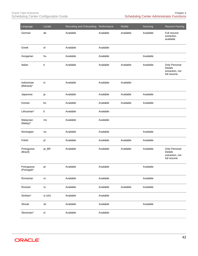| Language                  | Locale  | Recruiting and Onboarding Performance |           | Mobile    | Sourcing  | <b>Resume Parsing</b>                                             |
|---------------------------|---------|---------------------------------------|-----------|-----------|-----------|-------------------------------------------------------------------|
| German                    | de      | Available                             | Available | Available | Available | Full resume<br>extraction<br>available                            |
| Greek                     | el      | Available                             | Available |           |           |                                                                   |
| Hungarian                 | hu      | Available                             | Available |           | Available |                                                                   |
| Italian                   | it      | Available                             | Available | Available | Available | Only Personal<br><b>Details</b><br>extraction, not<br>full resume |
| Indonesian<br>(Bahasa)*   | in      | Available                             | Available | Available |           |                                                                   |
| Japanese                  | ja      | Available                             | Available | Available | Available |                                                                   |
| Korean                    | ko      | Available                             | Available | Available | Available |                                                                   |
| Lithuanian*               | It      | Available                             | Available |           |           |                                                                   |
| Malaysian<br>(Malay)*     | ms      | Available                             | Available |           |           |                                                                   |
| Norwegian                 | no      | Available                             | Available |           | Available |                                                                   |
| Polish                    | pl      | Available                             | Available | Available | Available |                                                                   |
| Portuguese<br>(Brazil)    | pt_BR   | Available                             | Available | Available | Available | Only Personal<br>Details<br>extraction, not<br>full resume        |
| Portuguese<br>(Portugal)* | pt      | Available                             | Available |           | Available |                                                                   |
| Romanian                  | ro      | Available                             | Available |           | Available |                                                                   |
| Russian                   | ru      | Available                             | Available | Available | Available |                                                                   |
| Serbian*                  | sr (sh) | Available                             | Available |           |           |                                                                   |
| Slovak                    | sk      | Available                             | Available |           | Available |                                                                   |
| Slovenian*                | sl      | Available                             | Available |           |           |                                                                   |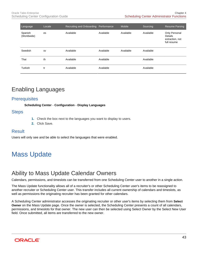| Language               | Locale | Recruiting and Onboarding Performance |           | <b>Mobile</b> | Sourcing  | <b>Resume Parsing</b>                                      |
|------------------------|--------|---------------------------------------|-----------|---------------|-----------|------------------------------------------------------------|
| Spanish<br>(Worldwide) | es     | Available                             | Available | Available     | Available | Only Personal<br>Details<br>extraction, not<br>full resume |
| Swedish                | SV     | Available                             | Available | Available     | Available |                                                            |
| Thai                   | th     | Available                             | Available |               | Available |                                                            |
| Turkish                | tr     | Available                             | Available |               | Available |                                                            |

### Enabling Languages

#### **Prerequisites**

**Scheduling Center** - **Configuration** - **Display Languages**

#### **Steps**

- **1.** Check the box next to the languages you want to display to users.
- **2.** Click Save.

#### Result

Users will only see and be able to select the languages that were enabled.

# <span id="page-48-0"></span>Mass Update

### Ability to Mass Update Calendar Owners

Calendars, permissions, and timeslots can be transferred from one Scheduling Center user to another in a single action.

The Mass Update functionality allows all of a recruiter's or other Scheduling Center user's items to be reassigned to another recruiter or Scheduling Center user. This transfer includes all current ownership of calendars and timeslots, as well as permissions the originating recruiter has been granted for other calendars.

A Scheduling Center administrator accesses the originating recruiter or other user's items by selecting them from **Select Owner** on the Mass Update page. Once the owner is selected, the Scheduling Center presents a count of all calendars, permissions, and timeslots for that owner. The new user can then be selected using Select Owner by the Select New User field. Once submitted, all items are transferred to the new owner.

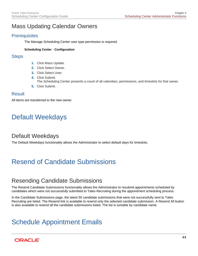### Mass Updating Calendar Owners

#### **Prerequisites**

The Manage Scheduling Center user type permission is required.

#### **Scheduling Center** - **Configuration**

#### Steps

- **1.** Click Mass Update.
- **2.** Click Select Owner.
- **3.** Click Select User.
- **4.** Click Submit. The Scheduling Center presents a count of all calendars, permissions, and timeslots for that owner.
- **5.** Click Submit.

#### Result

All items are transferred to the new owner.

# <span id="page-49-0"></span>Default Weekdays

### Default Weekdays

The Default Weekdays functionality allows the Administrator to select default days for timeslots.

# <span id="page-49-1"></span>Resend of Candidate Submissions

### Resending Candidate Submissions

The Resend Candidate Submissions functionality allows the Administrator to resubmit appointments scheduled by candidates which were not successfully submitted to Taleo Recruiting during the appointment scheduling process.

In the Candidate Submissions page, the latest 50 candidate submissions that were not successfully sent to Taleo Recruiting are listed. The Resend link is available to resend only the selected candidate submission. A Resend All button is also available to resend all the candidate submissions listed. The list is sortable by candidate name.

# <span id="page-49-2"></span>Schedule Appointment Emails

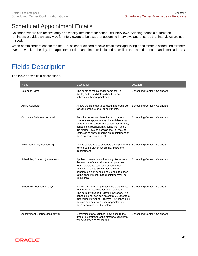### Scheduled Appointment Emails

Calendar owners can receive daily and weekly reminders for scheduled interviews. Sending periodic automated reminders provides an easy way for interviewers to be aware of upcoming interviews and ensures that interviews are not missed.

When administrators enable the feature, calendar owners receive email message listing appointments scheduled for them over the week or the day. The appointment date and time are indicated as well as the candidate name and email address.

# <span id="page-50-0"></span>Fields Description

The table shows field descriptions.

| <b>Description</b>                                                                                                                                                                                                                                                                                                                | Location                                |
|-----------------------------------------------------------------------------------------------------------------------------------------------------------------------------------------------------------------------------------------------------------------------------------------------------------------------------------|-----------------------------------------|
| The name of the calendar name that is<br>displayed to candidates when they are<br>scheduling their appointment.                                                                                                                                                                                                                   | <b>Scheduling Center &gt; Calendars</b> |
| Allows the calendar to be used in a requisition<br>for candidates to book appointments.                                                                                                                                                                                                                                           | <b>Scheduling Center &gt; Calendars</b> |
| Sets the permission level for candidates to<br>control their appointments. A candidate may<br>be granted full scheduling capabilities (that is,<br>scheduling, rescheduling, canceling - this is<br>the highest level of permissions), or may be<br>restricted to only canceling an appointment or<br>have no permissions at all. | Scheduling Center > Calendars           |
| Allows candidates to schedule an appointment Scheduling Center > Calendars<br>for the same day on which they make the<br>appointment.                                                                                                                                                                                             |                                         |
| Applies to same day scheduling. Represents<br>the amount of time prior to an appointment<br>that a candidate can self-schedule. For<br>example, if set to 60 minutes and the<br>candidate is self-scheduling 30 minutes prior<br>to the appointment, that appointment will be<br>unavailable.                                     | Scheduling Center > Calendars           |
| Represents how long in advance a candidate<br>may book an appointment on a calendar.<br>The default value is 14 days in advance. The<br>scheduling horizon can be set to 60, 90 or to a<br>maximum interval of 180 days. The scheduling<br>horizon can be edited once appointments<br>have been made on the calendar.             | <b>Scheduling Center &gt; Calendars</b> |
| Determines for a calendar how close to the<br>time of a confirmed appointment a candidate<br>will be allowed to reschedule.                                                                                                                                                                                                       | Scheduling Center > Calendars           |
|                                                                                                                                                                                                                                                                                                                                   |                                         |

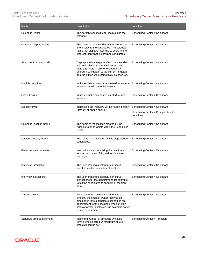| <b>Fields</b>                 | Description                                                                                                                                                                                                                                             | Location                                         |
|-------------------------------|---------------------------------------------------------------------------------------------------------------------------------------------------------------------------------------------------------------------------------------------------------|--------------------------------------------------|
| Calendar Owner                | The person responsible for maintaining the<br>calendar.                                                                                                                                                                                                 | Scheduling Center > Calendars                    |
| Calendar Display Name         | The name of the calendar as the user wants<br>it to display to the candidates. The calendar<br>name that displays internally to users is often<br>different than what is shown to candidates.                                                           | Scheduling Center > Calendars                    |
| Select As Primary Locale      | Displays the language in which the calendar<br>will be displayed to the administrator and<br>recruiters. Note: If only one language is<br>offered, it will default to the current language<br>and the button will automatically be checked.             | Scheduling Center > Calendars                    |
| Multiple Location             | Indicates that a calendar is created for several Scheduling Center > Calendars<br>locations (maximum of 5 locations).                                                                                                                                   |                                                  |
| Single Location               | Indicates that a calendar is created for one<br>location.                                                                                                                                                                                               | Scheduling Center > Calendars                    |
| <b>Location Type</b>          | Indicates if the interview will be held in person<br>(default) or on the phone                                                                                                                                                                          | Scheduling Center > Calendars                    |
|                               |                                                                                                                                                                                                                                                         | Scheduling Center > Configuration ><br>Locations |
| <b>Calendar Location Name</b> | The name of the location created by the<br>Administrator as visible within the Scheduling<br>Center.                                                                                                                                                    | Scheduling Center > Calendars                    |
| <b>Location Display Name</b>  | The name of the location as it is displayed to<br>candidates.                                                                                                                                                                                           | Scheduling Center > Calendars                    |
| Pre-schedule Information      | Instructions such as asking the candidate<br>to bring two types of ID, to dress business<br>casual, etc.                                                                                                                                                | Scheduling Center > Calendars                    |
| <b>Interview Directions</b>   | The user creating a calendar can input<br>directions to the appointment location.                                                                                                                                                                       | Scheduling Center > Calendars                    |
| Interview Instructions        | The user creating a calendar can input<br>instructions for the appointment, for example<br>to tell the candidates to check in at the front<br>desk.                                                                                                     | Scheduling Center > Calendars                    |
| <b>Timeslot Owner</b>         | When a timeslot owner is assigned to a<br>timeslot, the timeslot owner receives an<br>email each time a candidate schedules an<br>appointment for the assigned timeslot. If no<br>timeslot owner is selected, the calendar owner<br>receives the email. | Scheduling Center > Calendars                    |
| Schedule up to a maximum      | Maximum number of timeslots available<br>for the time selected. A maximum of 999<br>timeslots can be set.                                                                                                                                               | Scheduling Center > Timeslots                    |